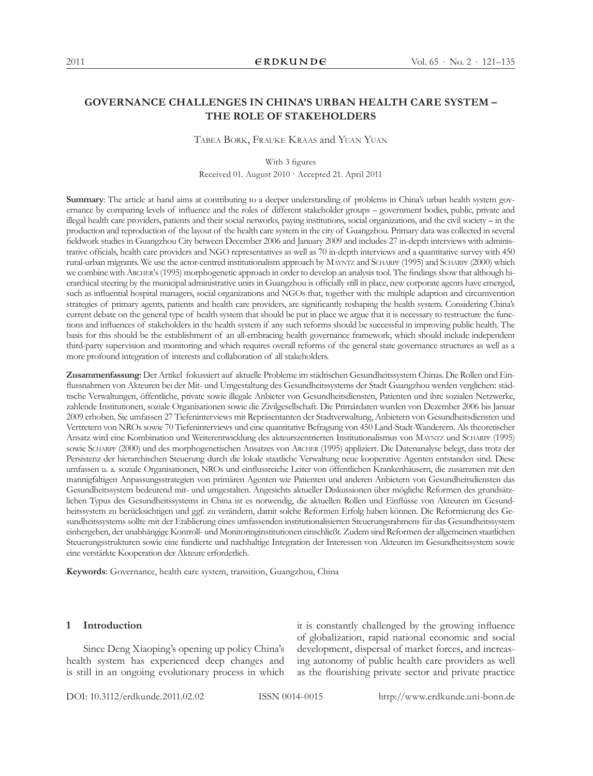# **GOVERNANCE CHALLENGES IN CHINA'S URBAN HEALTH CARE SYSTEM – THE ROLE OF STAKEHOLDERS**

Tabea Bork, Frauke Kraas and Yuan Yuan

With 3 figures

Received 01. August 2010 · Accepted 21. April 2011

**Summary:** The article at hand aims at contributing to a deeper understanding of problems in China's urban health system governance by comparing levels of influence and the roles of different stakeholder groups – government bodies, public, private and illegal health care providers, patients and their social networks, paying institutions, social organizations, and the civil society – in the production and reproduction of the layout of the health care system in the city of Guangzhou. Primary data was collected in several fieldwork studies in Guangzhou City between December 2006 and January 2009 and includes 27 in-depth interviews with administrative officials, health care providers and NGO representatives as well as 70 in-depth interviews and a quantitative survey with 450 rural-urban migrants. We use the actor-centred institutionalism approach by MAYNTZ and SCHARPF (1995) and SCHARPF (2000) which we combine with Archer's (1995) morphogenetic approach in order to develop an analysis tool. The findings show that although hierarchical steering by the municipal administrative units in Guangzhou is officially still in place, new corporate agents have emerged, such as influential hospital managers, social organizations and NGOs that, together with the multiple adaption and circumvention strategies of primary agents, patients and health care providers, are significantly reshaping the health system. Considering China's current debate on the general type of health system that should be put in place we argue that it is necessary to restructure the functions and influences of stakeholders in the health system if any such reforms should be successful in improving public health. The basis for this should be the establishment of an all-embracing health governance framework, which should include independent third-party supervision and monitoring and which requires overall reforms of the general state governance structures as well as a more profound integration of interests and collaboration of all stakeholders.

**Zusammenfassung**: Der Artikel fokussiert auf aktuelle Probleme im städtischen Gesundheitssystem Chinas. Die Rollen und Einflussnahmen von Akteuren bei der Mit- und Umgestaltung des Gesundheitssystems der Stadt Guangzhou werden verglichen: städtische Verwaltungen, öffentliche, private sowie illegale Anbieter von Gesundheitsdiensten, Patienten und ihre sozialen Netzwerke, zahlende Institutionen, soziale Organisationen sowie die Zivilgesellschaft. Die Primärdaten wurden von Dezember 2006 bis Januar 2009 erhoben. Sie umfassen 27 Tiefeninterviews mit Repräsentanten der Stadtverwaltung, Anbietern von Gesundheitsdiensten und Vertretern von NROs sowie 70 Tiefeninterviews und eine quantitative Befragung von 450 Land-Stadt-Wanderern. Als theoretischer Ansatz wird eine Kombination und Weiterentwicklung des akteurszentrierten Institutionalismus von MAYNTZ und SCHARPF (1995) sowie Scharpf (2000) und des morphogenetischen Ansatzes von Archer (1995) appliziert. Die Datenanalyse belegt, dass trotz der Persistenz der hierarchischen Steuerung durch die lokale staatliche Verwaltung neue kooperative Agenten entstanden sind. Diese umfassen u. a. soziale Organisationen, NROs und einflussreiche Leiter von öffentlichen Krankenhäusern, die zusammen mit den mannigfaltigen Anpassungsstrategien von primären Agenten wie Patienten und anderen Anbietern von Gesundheitsdiensten das Gesundheitssystem bedeutend mit- und umgestalten. Angesichts aktueller Diskussionen über mögliche Reformen des grundsätzlichen Typus des Gesundheitssystems in China ist es notwendig, die aktuellen Rollen und Einflüsse von Akteuren im Gesundheitssystem zu berücksichtigen und ggf. zu verändern, damit solche Reformen Erfolg haben können. Die Reformierung des Gesundheitssystems sollte mit der Etablierung eines umfassenden institutionalisierten Steuerungsrahmens für das Gesundheitssystem einhergehen, der unabhängige Kontroll- und Monitoringinstitutionen einschließt. Zudem sind Reformen der allgemeinen staatlichen Steuerungsstrukturen sowie eine fundierte und nachhaltige Integration der Interessen von Akteuren im Gesundheitssystem sowie eine verstärkte Kooperation der Akteure erforderlich.

**Keywords**: Governance, health care system, transition, Guangzhou, China

### **1 Introduction**

Since Deng Xiaoping's opening up policy China's health system has experienced deep changes and is still in an ongoing evolutionary process in which it is constantly challenged by the growing influence of globalization, rapid national economic and social development, dispersal of market forces, and increasing autonomy of public health care providers as well as the flourishing private sector and private practice

DOI: 10.3112/erdkunde.2011.02.02 ISSN 0014-0015 http://www.erdkunde.uni-bonn.de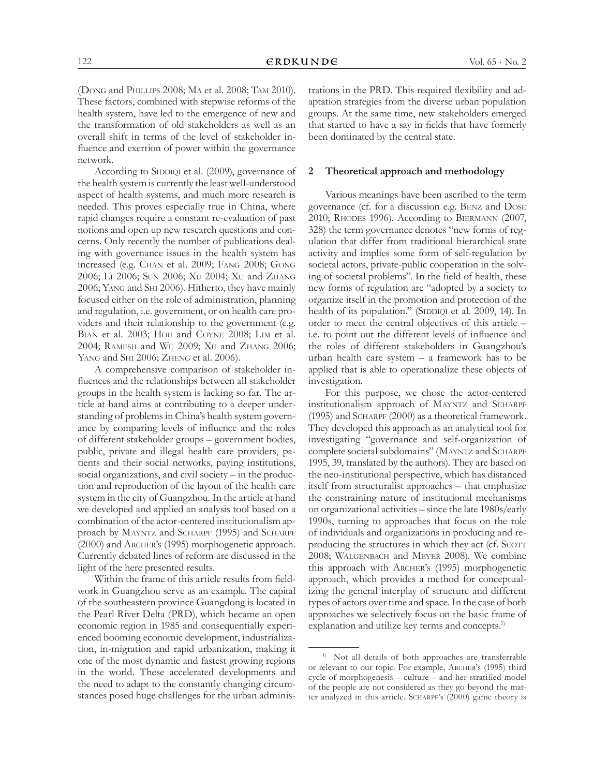(Dong and Phillips 2008; Ma et al. 2008; Tam 2010). These factors, combined with stepwise reforms of the health system, have led to the emergence of new and the transformation of old stakeholders as well as an overall shift in terms of the level of stakeholder influence and exertion of power within the governance network.

According to SIDDIQI et al. (2009), governance of the health system is currently the least well-understood aspect of health systems, and much more research is needed. This proves especially true in China, where rapid changes require a constant re-evaluation of past notions and open up new research questions and concerns. Only recently the number of publications dealing with governance issues in the health system has increased (e.g. Chan et al. 2009; Fang 2008; Gong 2006; Li 2006; Sun 2006; Xu 2004; Xu and Zhang 2006; Yang and Shi 2006). Hitherto, they have mainly focused either on the role of administration, planning and regulation, i.e. government, or on health care providers and their relationship to the government (e.g. Bian et al. 2003; Hou and Coyne 2008; Lim et al. 2004; Ramesh and Wu 2009; Xu and Zhang 2006; Yang and Shi 2006; Zheng et al. 2006).

A comprehensive comparison of stakeholder influences and the relationships between all stakeholder groups in the health system is lacking so far. The article at hand aims at contributing to a deeper understanding of problems in China's health system governance by comparing levels of influence and the roles of different stakeholder groups – government bodies, public, private and illegal health care providers, patients and their social networks, paying institutions, social organizations, and civil society – in the production and reproduction of the layout of the health care system in the city of Guangzhou. In the article at hand we developed and applied an analysis tool based on a combination of the actor-centered institutionalism approach by MAYNTZ and SCHARPF (1995) and SCHARPF (2000) and Archer's (1995) morphogenetic approach. Currently debated lines of reform are discussed in the light of the here presented results.

Within the frame of this article results from fieldwork in Guangzhou serve as an example. The capital of the southeastern province Guangdong is located in the Pearl River Delta (PRD), which became an open economic region in 1985 and consequentially experienced booming economic development, industrialization, in-migration and rapid urbanization, making it one of the most dynamic and fastest growing regions in the world. These accelerated developments and the need to adapt to the constantly changing circumstances posed huge challenges for the urban administrations in the PRD. This required flexibility and adaptation strategies from the diverse urban population groups. At the same time, new stakeholders emerged that started to have a say in fields that have formerly been dominated by the central state.

# **2 Theoretical approach and methodology**

Various meanings have been ascribed to the term governance (cf. for a discussion e.g. Benz and Dose 2010; Rhodes 1996). According to Biermann (2007, 328) the term governance denotes "new forms of regulation that differ from traditional hierarchical state activity and implies some form of self-regulation by societal actors, private-public cooperation in the solving of societal problems". In the field of health, these new forms of regulation are "adopted by a society to organize itself in the promotion and protection of the health of its population." (SIDDIQI et al. 2009, 14). In order to meet the central objectives of this article – i.e. to point out the different levels of influence and the roles of different stakeholders in Guangzhou's urban health care system – a framework has to be applied that is able to operationalize these objects of investigation.

For this purpose, we chose the actor-centered institutionalism approach of MAYNTZ and SCHARPF (1995) and Scharpf (2000) as a theoretical framework. They developed this approach as an analytical tool for investigating "governance and self-organization of complete societal subdomains" (MAYNTZ and SCHARPF 1995, 39, translated by the authors). They are based on the neo-institutional perspective, which has distanced itself from structuralist approaches – that emphasize the constraining nature of institutional mechanisms on organizational activities – since the late 1980s/early 1990s, turning to approaches that focus on the role of individuals and organizations in producing and reproducing the structures in which they act (cf. SCOTT 2008; Walgenbach and Meyer 2008). We combine this approach with Archer's (1995) morphogenetic approach, which provides a method for conceptualizing the general interplay of structure and different types of actors over time and space. In the case of both approaches we selectively focus on the basic frame of explanation and utilize key terms and concepts.<sup>1)</sup>

<sup>1)</sup> Not all details of both approaches are transferrable or relevant to our topic. For example, Archer's (1995) third cycle of morphogenesis – culture – and her stratified model of the people are not considered as they go beyond the matter analyzed in this article. SCHARPF's (2000) game theory is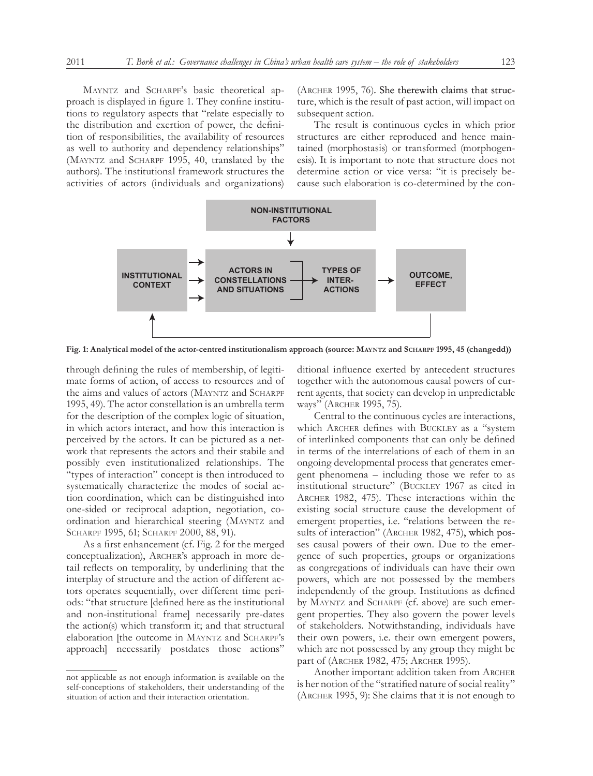MAYNTZ and SCHARPF's basic theoretical approach is displayed in figure 1. They confine institutions to regulatory aspects that "relate especially to the distribution and exertion of power, the definition of responsibilities, the availability of resources as well to authority and dependency relationships" (MAYNTZ and SCHARPF 1995, 40, translated by the authors). The institutional framework structures the activities of actors (individuals and organizations)

(Archer 1995, 76). She therewith claims that structure, which is the result of past action, will impact on subsequent action.

The result is continuous cycles in which prior structures are either reproduced and hence maintained (morphostasis) or transformed (morphogenesis). It is important to note that structure does not determine action or vice versa: "it is precisely because such elaboration is co-determined by the con-



**Fig. 1: Analytical model of the actor-centred institutionalism approach (source: Mayntz and Scharpf 1995, 45 (changedd))**

through defining the rules of membership, of legitimate forms of action, of access to resources and of the aims and values of actors (MAYNTZ and SCHARPF 1995, 49). The actor constellation is an umbrella term for the description of the complex logic of situation, in which actors interact, and how this interaction is perceived by the actors. It can be pictured as a network that represents the actors and their stabile and possibly even institutionalized relationships. The "types of interaction" concept is then introduced to systematically characterize the modes of social action coordination, which can be distinguished into one-sided or reciprocal adaption, negotiation, coordination and hierarchical steering (Mayntz and SCHARPF 1995, 61; SCHARPF 2000, 88, 91).

As a first enhancement (cf. Fig. 2 for the merged conceptualization), Archer's approach in more detail reflects on temporality, by underlining that the interplay of structure and the action of different actors operates sequentially, over different time periods: "that structure [defined here as the institutional and non-institutional frame] necessarily pre-dates the action(s) which transform it; and that structural elaboration [the outcome in MAYNTZ and SCHARPF's approach] necessarily postdates those actions"

ditional influence exerted by antecedent structures together with the autonomous causal powers of current agents, that society can develop in unpredictable ways" (Archer 1995, 75).

Central to the continuous cycles are interactions, which Archer defines with Buckley as a "system of interlinked components that can only be defined in terms of the interrelations of each of them in an ongoing developmental process that generates emergent phenomena – including those we refer to as institutional structure" (Buckley 1967 as cited in Archer 1982, 475). These interactions within the existing social structure cause the development of emergent properties, i.e. "relations between the results of interaction" (ARCHER 1982, 475), which posses causal powers of their own. Due to the emergence of such properties, groups or organizations as congregations of individuals can have their own powers, which are not possessed by the members independently of the group. Institutions as defined by Mayntz and Scharpf (cf. above) are such emergent properties. They also govern the power levels of stakeholders. Notwithstanding, individuals have their own powers, i.e. their own emergent powers, which are not possessed by any group they might be part of (Archer 1982, 475; Archer 1995).

Another important addition taken from ARCHER is her notion of the "stratified nature of social reality" (Archer 1995, 9): She claims that it is not enough to

not applicable as not enough information is available on the self-conceptions of stakeholders, their understanding of the situation of action and their interaction orientation.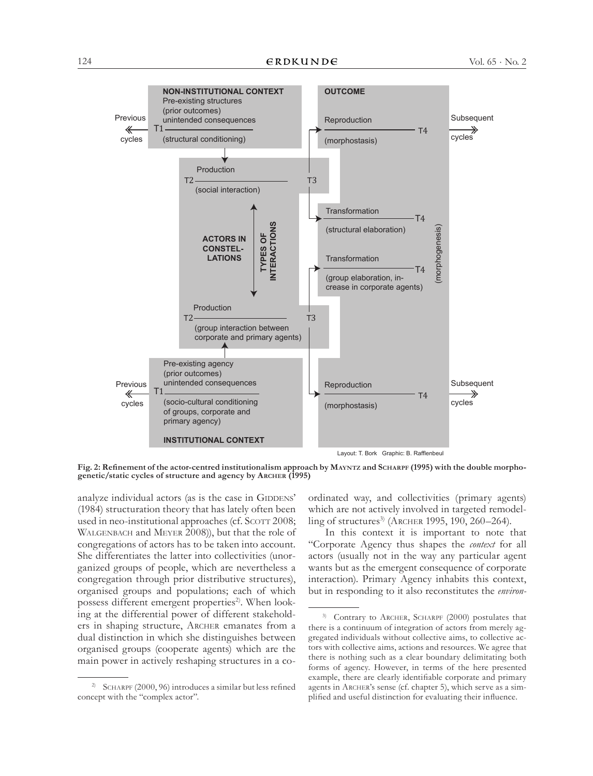

**Fig. 2: Refinement of the actor-centred institutionalism approach by Mayntz and Scharpf (1995) with the double morphogenetic/static cycles of structure and agency by Archer (1995)**

analyze individual actors (as is the case in GIDDENS' (1984) structuration theory that has lately often been used in neo-institutional approaches (cf. Scott 2008; WALGENBACH and MEYER 2008)), but that the role of congregations of actors has to be taken into account. She differentiates the latter into collectivities (unorganized groups of people, which are nevertheless a congregation through prior distributive structures), organised groups and populations; each of which possess different emergent properties<sup>2)</sup>. When looking at the differential power of different stakeholders in shaping structure, Archer emanates from a dual distinction in which she distinguishes between organised groups (cooperate agents) which are the main power in actively reshaping structures in a co-

ordinated way, and collectivities (primary agents) which are not actively involved in targeted remodelling of structures<sup>3)</sup> (ARCHER 1995, 190, 260–264).

In this context it is important to note that "Corporate Agency thus shapes the *context* for all actors (usually not in the way any particular agent wants but as the emergent consequence of corporate interaction). Primary Agency inhabits this context, but in responding to it also reconstitutes the *environ-*

<sup>&</sup>lt;sup>2)</sup> SCHARPF (2000, 96) introduces a similar but less refined concept with the "complex actor".

<sup>&</sup>lt;sup>3)</sup> Contrary to ARCHER, SCHARPF (2000) postulates that there is a continuum of integration of actors from merely aggregated individuals without collective aims, to collective actors with collective aims, actions and resources. We agree that there is nothing such as a clear boundary delimitating both forms of agency. However, in terms of the here presented example, there are clearly identifiable corporate and primary agents in Archer's sense (cf. chapter 5), which serve as a simplified and useful distinction for evaluating their influence.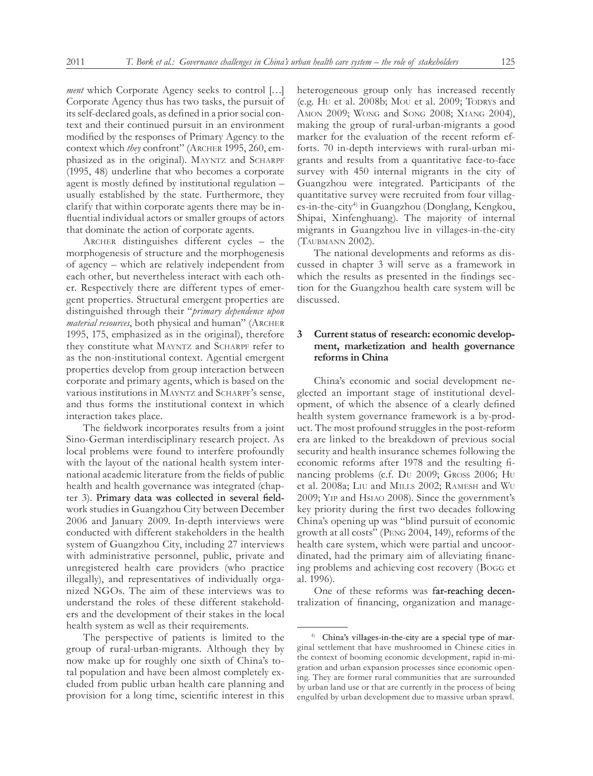*ment* which Corporate Agency seeks to control [...] Corporate Agency thus has two tasks, the pursuit of its self-declared goals, as defined in a prior social context and their continued pursuit in an environment modified by the responses of Primary Agency to the context which *they* confront" (ARCHER 1995, 260, emphasized as in the original). MAYNTZ and SCHARPF (1995, 48) underline that who becomes a corporate agent is mostly defined by institutional regulation – usually established by the state. Furthermore, they clarify that within corporate agents there may be influential individual actors or smaller groups of actors that dominate the action of corporate agents.

Archer distinguishes different cycles – the morphogenesis of structure and the morphogenesis of agency – which are relatively independent from each other, but nevertheless interact with each other. Respectively there are different types of emergent properties. Structural emergent properties are distinguished through their "*primary dependence upon material resources*, both physical and human" (ARCHER 1995, 175, emphasized as in the original), therefore they constitute what MAYNTZ and SCHARPF refer to as the non-institutional context. Agential emergent properties develop from group interaction between corporate and primary agents, which is based on the various institutions in Mayntz and Scharpf's sense, and thus forms the institutional context in which interaction takes place.

The fieldwork incorporates results from a joint Sino-German interdisciplinary research project. As local problems were found to interfere profoundly with the layout of the national health system international academic literature from the fields of public health and health governance was integrated (chapter 3). Primary data was collected in several fieldwork studies in Guangzhou City between December 2006 and January 2009. In-depth interviews were conducted with different stakeholders in the health system of Guangzhou City, including 27 interviews with administrative personnel, public, private and unregistered health care providers (who practice illegally), and representatives of individually organized NGOs. The aim of these interviews was to understand the roles of these different stakeholders and the development of their stakes in the local health system as well as their requirements.

The perspective of patients is limited to the group of rural-urban-migrants. Although they by now make up for roughly one sixth of China's total population and have been almost completely excluded from public urban health care planning and provision for a long time, scientific interest in this

heterogeneous group only has increased recently (e.g. Hu et al. 2008b; Mou et al. 2009; Todrys and Amon 2009; Wong and Song 2008; Xiang 2004), making the group of rural-urban-migrants a good marker for the evaluation of the recent reform efforts. 70 in-depth interviews with rural-urban migrants and results from a quantitative face-to-face survey with 450 internal migrants in the city of Guangzhou were integrated. Participants of the quantitative survey were recruited from four villages-in-the-city<sup>4)</sup> in Guangzhou (Donglang, Kengkou, Shipai, Xinfenghuang). The majority of internal migrants in Guangzhou live in villages-in-the-city (Taubmann 2002).

The national developments and reforms as discussed in chapter 3 will serve as a framework in which the results as presented in the findings section for the Guangzhou health care system will be discussed.

# **3 Current status of research: economic development, marketization and health governance reforms in China**

China's economic and social development neglected an important stage of institutional development, of which the absence of a clearly defined health system governance framework is a by-product. The most profound struggles in the post-reform era are linked to the breakdown of previous social security and health insurance schemes following the economic reforms after 1978 and the resulting financing problems (c.f. Du 2009; Gross 2006; Hu et al. 2008a; Liu and Mills 2002; Ramesh and Wu 2009; Yip and Hsiao 2008). Since the government's key priority during the first two decades following China's opening up was "blind pursuit of economic growth at all costs" (Peng 2004, 149), reforms of the health care system, which were partial and uncoordinated, had the primary aim of alleviating financing problems and achieving cost recovery (Bogg et al. 1996).

One of these reforms was far-reaching decentralization of financing, organization and manage-

<sup>4)</sup> China's villages-in-the-city are a special type of marginal settlement that have mushroomed in Chinese cities in the context of booming economic development, rapid in-migration and urban expansion processes since economic opening. They are former rural communities that are surrounded by urban land use or that are currently in the process of being engulfed by urban development due to massive urban sprawl.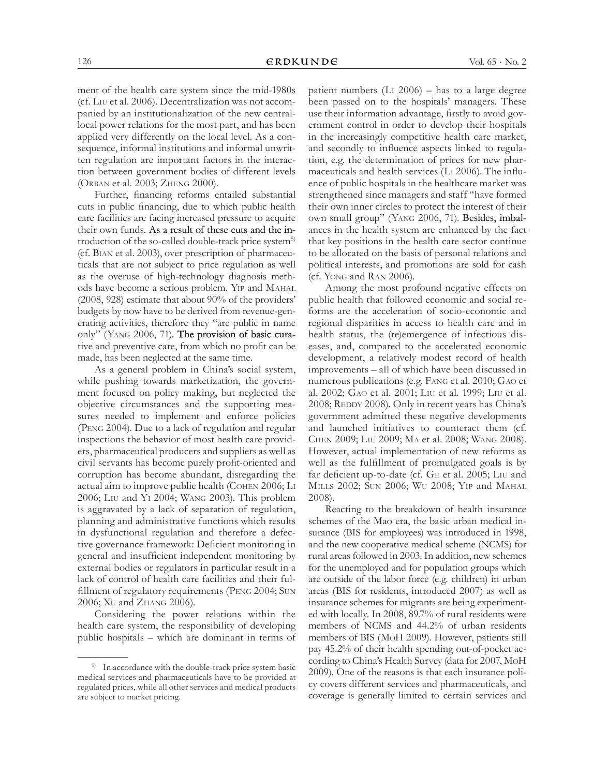ment of the health care system since the mid-1980s (cf. Liu et al. 2006). Decentralization was not accompanied by an institutionalization of the new centrallocal power relations for the most part, and has been applied very differently on the local level. As a consequence, informal institutions and informal unwritten regulation are important factors in the interaction between government bodies of different levels (Orban et al. 2003; Zheng 2000).

Further, financing reforms entailed substantial cuts in public financing, due to which public health care facilities are facing increased pressure to acquire their own funds. As a result of these cuts and the introduction of the so-called double-track price system<sup>5)</sup> (cf. Bian et al. 2003), over prescription of pharmaceuticals that are not subject to price regulation as well as the overuse of high-technology diagnosis methods have become a serious problem. Yip and Mahal (2008, 928) estimate that about 90% of the providers' budgets by now have to be derived from revenue-generating activities, therefore they "are public in name only" (Yang 2006, 71). The provision of basic curative and preventive care, from which no profit can be made, has been neglected at the same time.

As a general problem in China's social system, while pushing towards marketization, the government focused on policy making, but neglected the objective circumstances and the supporting measures needed to implement and enforce policies (Peng 2004). Due to a lack of regulation and regular inspections the behavior of most health care providers, pharmaceutical producers and suppliers as well as civil servants has become purely profit-oriented and corruption has become abundant, disregarding the actual aim to improve public health (Cohen 2006; Li 2006; Liu and Yi 2004; Wang 2003). This problem is aggravated by a lack of separation of regulation, planning and administrative functions which results in dysfunctional regulation and therefore a defective governance framework: Deficient monitoring in general and insufficient independent monitoring by external bodies or regulators in particular result in a lack of control of health care facilities and their fulfillment of regulatory requirements (Peng 2004; Sun 2006; Xu and Zhang 2006).

Considering the power relations within the health care system, the responsibility of developing public hospitals – which are dominant in terms of patient numbers (Li 2006) – has to a large degree been passed on to the hospitals' managers. These use their information advantage, firstly to avoid government control in order to develop their hospitals in the increasingly competitive health care market, and secondly to influence aspects linked to regulation, e.g. the determination of prices for new pharmaceuticals and health services (Li 2006). The influence of public hospitals in the healthcare market was strengthened since managers and staff "have formed their own inner circles to protect the interest of their own small group" (Yang 2006, 71). Besides, imbalances in the health system are enhanced by the fact that key positions in the health care sector continue to be allocated on the basis of personal relations and political interests, and promotions are sold for cash (cf. Yong and Ran 2006).

Among the most profound negative effects on public health that followed economic and social reforms are the acceleration of socio-economic and regional disparities in access to health care and in health status, the (re)emergence of infectious diseases, and, compared to the accelerated economic development, a relatively modest record of health improvements – all of which have been discussed in numerous publications (e.g. Fang et al. 2010; Gao et al. 2002; Gao et al. 2001; Liu et al. 1999; Liu et al. 2008; REDDY 2008). Only in recent years has China's government admitted these negative developments and launched initiatives to counteract them (cf. Chen 2009; Liu 2009; Ma et al. 2008; Wang 2008). However, actual implementation of new reforms as well as the fulfillment of promulgated goals is by far deficient up-to-date (cf. Ge et al. 2005; Liu and Mills 2002; Sun 2006; Wu 2008; Yip and Mahal 2008).

Reacting to the breakdown of health insurance schemes of the Mao era, the basic urban medical insurance (BIS for employees) was introduced in 1998, and the new cooperative medical scheme (NCMS) for rural areas followed in 2003. In addition, new schemes for the unemployed and for population groups which are outside of the labor force (e.g. children) in urban areas (BIS for residents, introduced 2007) as well as insurance schemes for migrants are being experimented with locally. In 2008, 89.7% of rural residents were members of NCMS and 44.2% of urban residents members of BIS (MoH 2009). However, patients still pay 45.2% of their health spending out-of-pocket according to China's Health Survey (data for 2007, MoH 2009). One of the reasons is that each insurance policy covers different services and pharmaceuticals, and coverage is generally limited to certain services and

<sup>5)</sup> In accordance with the double-track price system basic medical services and pharmaceuticals have to be provided at regulated prices, while all other services and medical products are subject to market pricing.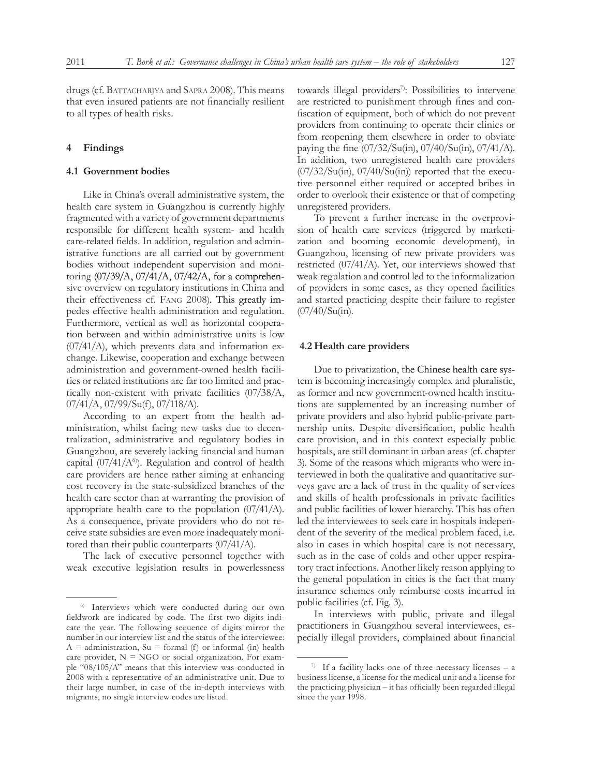drugs (cf. BATTACHARJYA and SAPRA 2008). This means that even insured patients are not financially resilient to all types of health risks.

# **4 Findings**

# **4.1 Government bodies**

Like in China's overall administrative system, the health care system in Guangzhou is currently highly fragmented with a variety of government departments responsible for different health system- and health care-related fields. In addition, regulation and administrative functions are all carried out by government bodies without independent supervision and monitoring (07/39/A, 07/41/A, 07/42/A, for a comprehensive overview on regulatory institutions in China and their effectiveness cf. Fang 2008). This greatly impedes effective health administration and regulation. Furthermore, vertical as well as horizontal cooperation between and within administrative units is low (07/41/A), which prevents data and information exchange. Likewise, cooperation and exchange between administration and government-owned health facilities or related institutions are far too limited and practically non-existent with private facilities (07/38/A, 07/41/A, 07/99/Su(f), 07/118/A).

According to an expert from the health administration, whilst facing new tasks due to decentralization, administrative and regulatory bodies in Guangzhou, are severely lacking financial and human capital  $(07/41/A<sup>6</sup>)$ . Regulation and control of health care providers are hence rather aiming at enhancing cost recovery in the state-subsidized branches of the health care sector than at warranting the provision of appropriate health care to the population (07/41/A). As a consequence, private providers who do not receive state subsidies are even more inadequately monitored than their public counterparts (07/41/A).

The lack of executive personnel together with weak executive legislation results in powerlessness

towards illegal providers<sup>7</sup>: Possibilities to intervene are restricted to punishment through fines and confiscation of equipment, both of which do not prevent providers from continuing to operate their clinics or from reopening them elsewhere in order to obviate paying the fine (07/32/Su(in), 07/40/Su(in), 07/41/A). In addition, two unregistered health care providers  $(07/32/Su(in), 07/40/Su(in))$  reported that the executive personnel either required or accepted bribes in order to overlook their existence or that of competing unregistered providers.

To prevent a further increase in the overprovision of health care services (triggered by marketization and booming economic development), in Guangzhou, licensing of new private providers was restricted (07/41/A). Yet, our interviews showed that weak regulation and control led to the informalization of providers in some cases, as they opened facilities and started practicing despite their failure to register (07/40/Su(in).

#### **4.2 Health care providers**

Due to privatization, the Chinese health care system is becoming increasingly complex and pluralistic, as former and new government-owned health institutions are supplemented by an increasing number of private providers and also hybrid public-private partnership units. Despite diversification, public health care provision, and in this context especially public hospitals, are still dominant in urban areas (cf. chapter 3). Some of the reasons which migrants who were interviewed in both the qualitative and quantitative surveys gave are a lack of trust in the quality of services and skills of health professionals in private facilities and public facilities of lower hierarchy. This has often led the interviewees to seek care in hospitals independent of the severity of the medical problem faced, i.e. also in cases in which hospital care is not necessary, such as in the case of colds and other upper respiratory tract infections. Another likely reason applying to the general population in cities is the fact that many insurance schemes only reimburse costs incurred in public facilities (cf. Fig. 3).

In interviews with public, private and illegal practitioners in Guangzhou several interviewees, especially illegal providers, complained about financial

<sup>6)</sup> Interviews which were conducted during our own fieldwork are indicated by code. The first two digits indicate the year. The following sequence of digits mirror the number in our interview list and the status of the interviewee:  $A =$  administration,  $Su =$  formal (f) or informal (in) health care provider,  $N = NGO$  or social organization. For example "08/105/A" means that this interview was conducted in 2008 with a representative of an administrative unit. Due to their large number, in case of the in-depth interviews with migrants, no single interview codes are listed.

<sup>&</sup>lt;sup>7)</sup> If a facility lacks one of three necessary licenses – a business license, a license for the medical unit and a license for the practicing physician – it has officially been regarded illegal since the year 1998.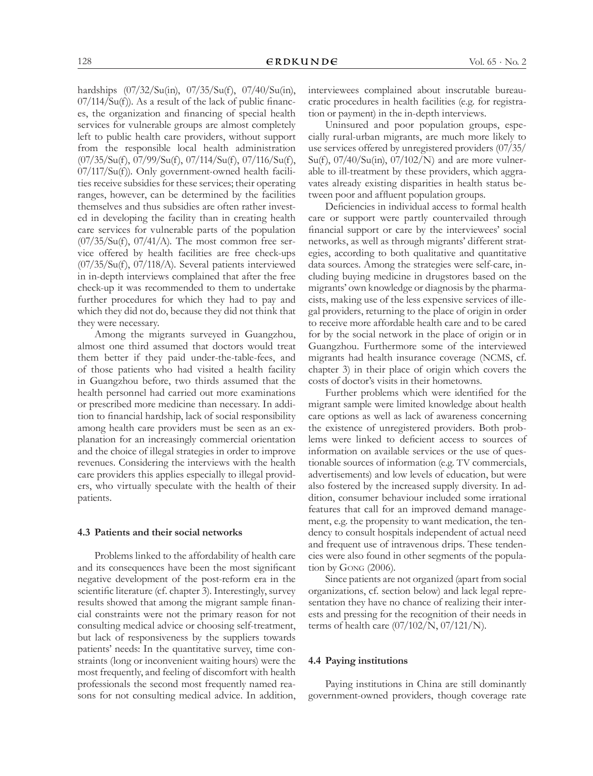hardships (07/32/Su(in), 07/35/Su(f), 07/40/Su(in),  $07/114/Su(f)$ ). As a result of the lack of public finances, the organization and financing of special health services for vulnerable groups are almost completely left to public health care providers, without support from the responsible local health administration (07/35/Su(f), 07/99/Su(f), 07/114/Su(f), 07/116/Su(f), 07/117/Su(f)). Only government-owned health facilities receive subsidies for these services; their operating ranges, however, can be determined by the facilities themselves and thus subsidies are often rather invested in developing the facility than in creating health care services for vulnerable parts of the population (07/35/Su(f), 07/41/A). The most common free service offered by health facilities are free check-ups (07/35/Su(f), 07/118/A). Several patients interviewed in in-depth interviews complained that after the free check-up it was recommended to them to undertake further procedures for which they had to pay and which they did not do, because they did not think that they were necessary.

Among the migrants surveyed in Guangzhou, almost one third assumed that doctors would treat them better if they paid under-the-table-fees, and of those patients who had visited a health facility in Guangzhou before, two thirds assumed that the health personnel had carried out more examinations or prescribed more medicine than necessary. In addition to financial hardship, lack of social responsibility among health care providers must be seen as an explanation for an increasingly commercial orientation and the choice of illegal strategies in order to improve revenues. Considering the interviews with the health care providers this applies especially to illegal providers, who virtually speculate with the health of their patients.

### **4.3 Patients and their social networks**

Problems linked to the affordability of health care and its consequences have been the most significant negative development of the post-reform era in the scientific literature (cf. chapter 3). Interestingly, survey results showed that among the migrant sample financial constraints were not the primary reason for not consulting medical advice or choosing self-treatment, but lack of responsiveness by the suppliers towards patients' needs: In the quantitative survey, time constraints (long or inconvenient waiting hours) were the most frequently, and feeling of discomfort with health professionals the second most frequently named reasons for not consulting medical advice. In addition, interviewees complained about inscrutable bureaucratic procedures in health facilities (e.g. for registration or payment) in the in-depth interviews.

Uninsured and poor population groups, especially rural-urban migrants, are much more likely to use services offered by unregistered providers (07/35/ Su(f),  $07/40/Su(in)$ ,  $07/102/N$  and are more vulnerable to ill-treatment by these providers, which aggravates already existing disparities in health status between poor and affluent population groups.

Deficiencies in individual access to formal health care or support were partly countervailed through financial support or care by the interviewees' social networks, as well as through migrants' different strategies, according to both qualitative and quantitative data sources. Among the strategies were self-care, including buying medicine in drugstores based on the migrants' own knowledge or diagnosis by the pharmacists, making use of the less expensive services of illegal providers, returning to the place of origin in order to receive more affordable health care and to be cared for by the social network in the place of origin or in Guangzhou. Furthermore some of the interviewed migrants had health insurance coverage (NCMS, cf. chapter 3) in their place of origin which covers the costs of doctor's visits in their hometowns.

Further problems which were identified for the migrant sample were limited knowledge about health care options as well as lack of awareness concerning the existence of unregistered providers. Both problems were linked to deficient access to sources of information on available services or the use of questionable sources of information (e.g. TV commercials, advertisements) and low levels of education, but were also fostered by the increased supply diversity. In addition, consumer behaviour included some irrational features that call for an improved demand management, e.g. the propensity to want medication, the tendency to consult hospitals independent of actual need and frequent use of intravenous drips. These tendencies were also found in other segments of the population by Gong (2006).

Since patients are not organized (apart from social organizations, cf. section below) and lack legal representation they have no chance of realizing their interests and pressing for the recognition of their needs in terms of health care (07/102/N, 07/121/N).

#### **4.4 Paying institutions**

Paying institutions in China are still dominantly government-owned providers, though coverage rate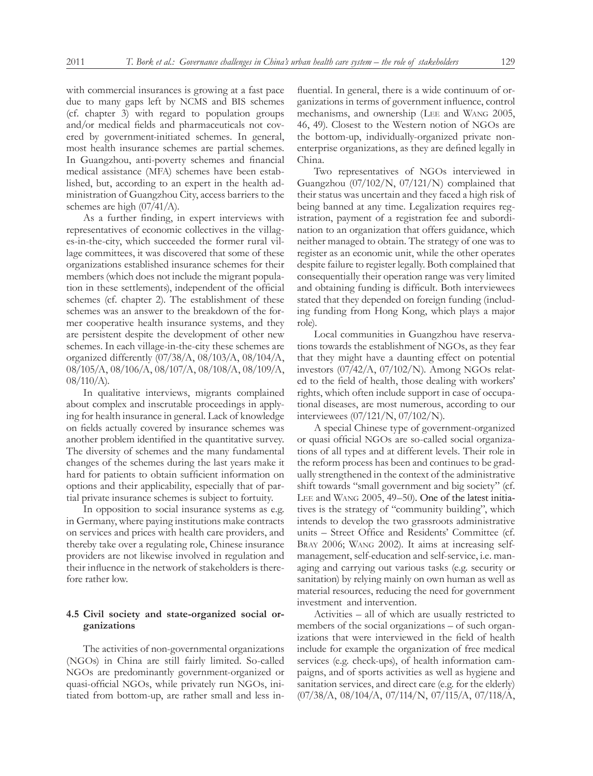with commercial insurances is growing at a fast pace due to many gaps left by NCMS and BIS schemes (cf. chapter 3) with regard to population groups and/or medical fields and pharmaceuticals not covered by government-initiated schemes. In general, most health insurance schemes are partial schemes. In Guangzhou, anti-poverty schemes and financial medical assistance (MFA) schemes have been established, but, according to an expert in the health administration of Guangzhou City, access barriers to the schemes are high (07/41/A).

As a further finding, in expert interviews with representatives of economic collectives in the villages-in-the-city, which succeeded the former rural village committees, it was discovered that some of these organizations established insurance schemes for their members (which does not include the migrant population in these settlements), independent of the official schemes (cf. chapter 2). The establishment of these schemes was an answer to the breakdown of the former cooperative health insurance systems, and they are persistent despite the development of other new schemes. In each village-in-the-city these schemes are organized differently (07/38/A, 08/103/A, 08/104/A, 08/105/A, 08/106/A, 08/107/A, 08/108/A, 08/109/A, 08/110/A).

In qualitative interviews, migrants complained about complex and inscrutable proceedings in applying for health insurance in general. Lack of knowledge on fields actually covered by insurance schemes was another problem identified in the quantitative survey. The diversity of schemes and the many fundamental changes of the schemes during the last years make it hard for patients to obtain sufficient information on options and their applicability, especially that of partial private insurance schemes is subject to fortuity.

In opposition to social insurance systems as e.g. in Germany, where paying institutions make contracts on services and prices with health care providers, and thereby take over a regulating role, Chinese insurance providers are not likewise involved in regulation and their influence in the network of stakeholders is therefore rather low.

# **4.5 Civil society and state-organized social organizations**

The activities of non-governmental organizations (NGOs) in China are still fairly limited. So-called NGOs are predominantly government-organized or quasi-official NGOs, while privately run NGOs, initiated from bottom-up, are rather small and less influential. In general, there is a wide continuum of organizations in terms of government influence, control mechanisms, and ownership (Lee and Wang 2005, 46, 49). Closest to the Western notion of NGOs are the bottom-up, individually-organized private nonenterprise organizations, as they are defined legally in China.

Two representatives of NGOs interviewed in Guangzhou (07/102/N, 07/121/N) complained that their status was uncertain and they faced a high risk of being banned at any time. Legalization requires registration, payment of a registration fee and subordination to an organization that offers guidance, which neither managed to obtain. The strategy of one was to register as an economic unit, while the other operates despite failure to register legally. Both complained that consequentially their operation range was very limited and obtaining funding is difficult. Both interviewees stated that they depended on foreign funding (including funding from Hong Kong, which plays a major role).

Local communities in Guangzhou have reservations towards the establishment of NGOs, as they fear that they might have a daunting effect on potential investors (07/42/A, 07/102/N). Among NGOs related to the field of health, those dealing with workers' rights, which often include support in case of occupational diseases, are most numerous, according to our interviewees (07/121/N, 07/102/N).

A special Chinese type of government-organized or quasi official NGOs are so-called social organizations of all types and at different levels. Their role in the reform process has been and continues to be gradually strengthened in the context of the administrative shift towards "small government and big society" (cf. Lee and Wang 2005, 49–50). One of the latest initiatives is the strategy of "community building", which intends to develop the two grassroots administrative units – Street Office and Residents' Committee (cf. BRAY 2006; WANG 2002). It aims at increasing selfmanagement, self-education and self-service, i.e. managing and carrying out various tasks (e.g. security or sanitation) by relying mainly on own human as well as material resources, reducing the need for government investment and intervention.

Activities – all of which are usually restricted to members of the social organizations – of such organizations that were interviewed in the field of health include for example the organization of free medical services (e.g. check-ups), of health information campaigns, and of sports activities as well as hygiene and sanitation services, and direct care (e.g. for the elderly) (07/38/A, 08/104/A, 07/114/N, 07/115/A, 07/118/A,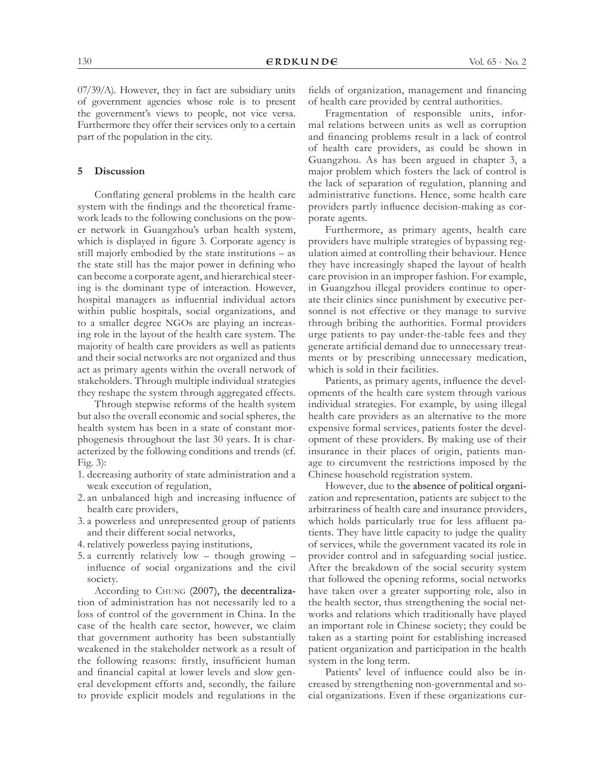07/39/A). However, they in fact are subsidiary units of government agencies whose role is to present the government's views to people, not vice versa. Furthermore they offer their services only to a certain part of the population in the city.

# **5 Discussion**

Conflating general problems in the health care system with the findings and the theoretical framework leads to the following conclusions on the power network in Guangzhou's urban health system, which is displayed in figure 3. Corporate agency is still majorly embodied by the state institutions – as the state still has the major power in defining who can become a corporate agent, and hierarchical steering is the dominant type of interaction. However, hospital managers as influential individual actors within public hospitals, social organizations, and to a smaller degree NGOs are playing an increasing role in the layout of the health care system. The majority of health care providers as well as patients and their social networks are not organized and thus act as primary agents within the overall network of stakeholders. Through multiple individual strategies they reshape the system through aggregated effects.

Through stepwise reforms of the health system but also the overall economic and social spheres, the health system has been in a state of constant morphogenesis throughout the last 30 years. It is characterized by the following conditions and trends (cf. Fig. 3):

- 1. decreasing authority of state administration and a weak execution of regulation,
- 2. an unbalanced high and increasing influence of health care providers,
- 3. a powerless and unrepresented group of patients and their different social networks,
- 4. relatively powerless paying institutions,
- 5. a currently relatively low though growing influence of social organizations and the civil society.

According to Chung (2007), the decentralization of administration has not necessarily led to a loss of control of the government in China. In the case of the health care sector, however, we claim that government authority has been substantially weakened in the stakeholder network as a result of the following reasons: firstly, insufficient human and financial capital at lower levels and slow general development efforts and, secondly, the failure to provide explicit models and regulations in the fields of organization, management and financing of health care provided by central authorities.

Fragmentation of responsible units, informal relations between units as well as corruption and financing problems result in a lack of control of health care providers, as could be shown in Guangzhou. As has been argued in chapter 3, a major problem which fosters the lack of control is the lack of separation of regulation, planning and administrative functions. Hence, some health care providers partly influence decision-making as corporate agents.

Furthermore, as primary agents, health care providers have multiple strategies of bypassing regulation aimed at controlling their behaviour. Hence they have increasingly shaped the layout of health care provision in an improper fashion. For example, in Guangzhou illegal providers continue to operate their clinics since punishment by executive personnel is not effective or they manage to survive through bribing the authorities. Formal providers urge patients to pay under-the-table fees and they generate artificial demand due to unnecessary treatments or by prescribing unnecessary medication, which is sold in their facilities.

Patients, as primary agents, influence the developments of the health care system through various individual strategies. For example, by using illegal health care providers as an alternative to the more expensive formal services, patients foster the development of these providers. By making use of their insurance in their places of origin, patients manage to circumvent the restrictions imposed by the Chinese household registration system.

However, due to the absence of political organization and representation, patients are subject to the arbitrariness of health care and insurance providers, which holds particularly true for less affluent patients. They have little capacity to judge the quality of services, while the government vacated its role in provider control and in safeguarding social justice. After the breakdown of the social security system that followed the opening reforms, social networks have taken over a greater supporting role, also in the health sector, thus strengthening the social networks and relations which traditionally have played an important role in Chinese society; they could be taken as a starting point for establishing increased patient organization and participation in the health system in the long term.

Patients' level of influence could also be increased by strengthening non-governmental and social organizations. Even if these organizations cur-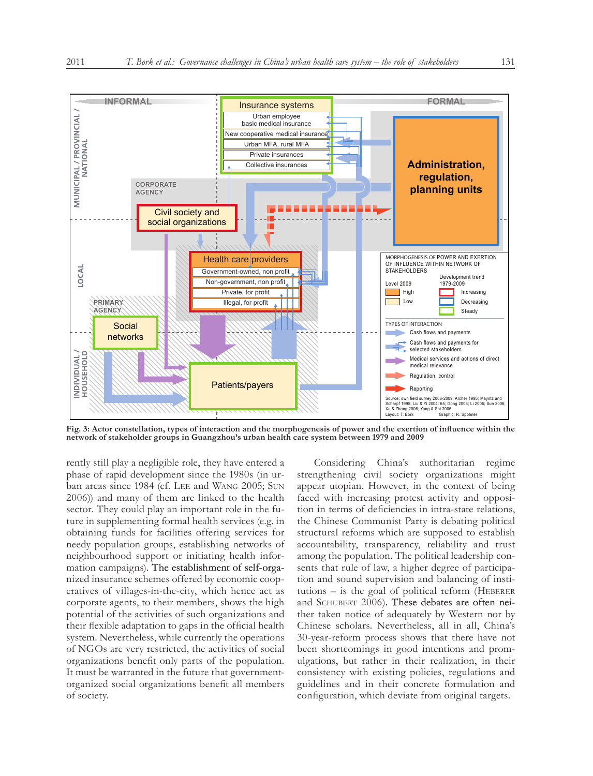

**Fig. 3: Actor constellation, types of interaction and the morphogenesis of power and the exertion of influence within the network of stakeholder groups in Guangzhou's urban health care system between 1979 and 2009**

rently still play a negligible role, they have entered a phase of rapid development since the 1980s (in urban areas since 1984 (cf. Lee and Wang 2005; Sun 2006)) and many of them are linked to the health sector. They could play an important role in the future in supplementing formal health services (e.g. in obtaining funds for facilities offering services for needy population groups, establishing networks of neighbourhood support or initiating health information campaigns). The establishment of self-organized insurance schemes offered by economic cooperatives of villages-in-the-city, which hence act as corporate agents, to their members, shows the high potential of the activities of such organizations and their flexible adaptation to gaps in the official health system. Nevertheless, while currently the operations of NGOs are very restricted, the activities of social organizations benefit only parts of the population. It must be warranted in the future that governmentorganized social organizations benefit all members of society.

Considering China's authoritarian regime strengthening civil society organizations might appear utopian. However, in the context of being faced with increasing protest activity and opposition in terms of deficiencies in intra-state relations, the Chinese Communist Party is debating political structural reforms which are supposed to establish accountability, transparency, reliability and trust among the population. The political leadership consents that rule of law, a higher degree of participation and sound supervision and balancing of insti $tutions - is the goal of political reform (HEBERER)$ and SCHUBERT 2006). These debates are often neither taken notice of adequately by Western nor by Chinese scholars. Nevertheless, all in all, China's 30-year-reform process shows that there have not been shortcomings in good intentions and promulgations, but rather in their realization, in their consistency with existing policies, regulations and guidelines and in their concrete formulation and configuration, which deviate from original targets.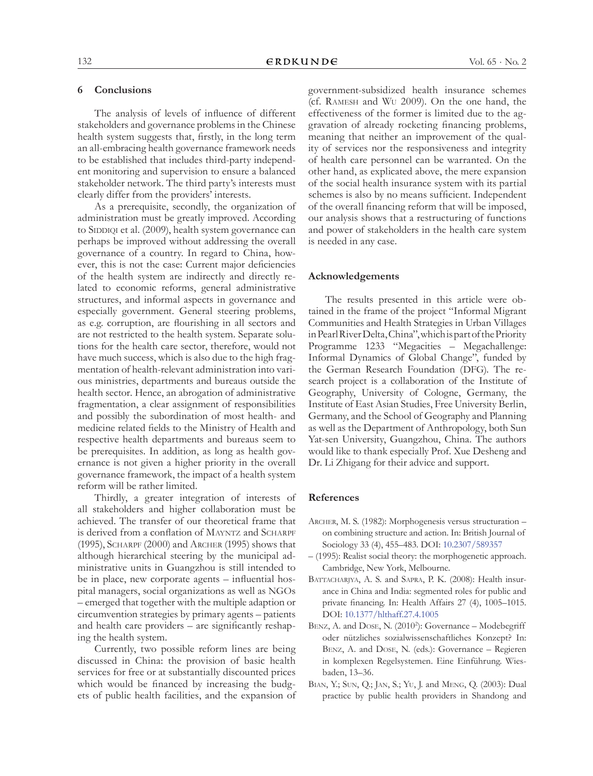# **6 Conclusions**

The analysis of levels of influence of different stakeholders and governance problems in the Chinese health system suggests that, firstly, in the long term an all-embracing health governance framework needs to be established that includes third-party independent monitoring and supervision to ensure a balanced stakeholder network. The third party's interests must clearly differ from the providers' interests.

As a prerequisite, secondly, the organization of administration must be greatly improved. According to SIDDIQI et al. (2009), health system governance can perhaps be improved without addressing the overall governance of a country. In regard to China, however, this is not the case: Current major deficiencies of the health system are indirectly and directly related to economic reforms, general administrative structures, and informal aspects in governance and especially government. General steering problems, as e.g. corruption, are flourishing in all sectors and are not restricted to the health system. Separate solutions for the health care sector, therefore, would not have much success, which is also due to the high fragmentation of health-relevant administration into various ministries, departments and bureaus outside the health sector. Hence, an abrogation of administrative fragmentation, a clear assignment of responsibilities and possibly the subordination of most health- and medicine related fields to the Ministry of Health and respective health departments and bureaus seem to be prerequisites. In addition, as long as health governance is not given a higher priority in the overall governance framework, the impact of a health system reform will be rather limited.

Thirdly, a greater integration of interests of all stakeholders and higher collaboration must be achieved. The transfer of our theoretical frame that is derived from a conflation of MAYNTZ and SCHARPF (1995), Scharpf (2000) and Archer (1995) shows that although hierarchical steering by the municipal administrative units in Guangzhou is still intended to be in place, new corporate agents – influential hospital managers, social organizations as well as NGOs – emerged that together with the multiple adaption or circumvention strategies by primary agents – patients and health care providers – are significantly reshaping the health system.

Currently, two possible reform lines are being discussed in China: the provision of basic health services for free or at substantially discounted prices which would be financed by increasing the budgets of public health facilities, and the expansion of government-subsidized health insurance schemes (cf. Ramesh and Wu 2009). On the one hand, the effectiveness of the former is limited due to the aggravation of already rocketing financing problems, meaning that neither an improvement of the quality of services nor the responsiveness and integrity of health care personnel can be warranted. On the other hand, as explicated above, the mere expansion of the social health insurance system with its partial schemes is also by no means sufficient. Independent of the overall financing reform that will be imposed, our analysis shows that a restructuring of functions and power of stakeholders in the health care system is needed in any case.

# **Acknowledgements**

The results presented in this article were obtained in the frame of the project "Informal Migrant Communities and Health Strategies in Urban Villages in Pearl River Delta, China", which is part of the Priority Programme 1233 "Megacities – Megachallenge: Informal Dynamics of Global Change", funded by the German Research Foundation (DFG). The research project is a collaboration of the Institute of Geography, University of Cologne, Germany, the Institute of East Asian Studies, Free University Berlin, Germany, and the School of Geography and Planning as well as the Department of Anthropology, both Sun Yat-sen University, Guangzhou, China. The authors would like to thank especially Prof. Xue Desheng and Dr. Li Zhigang for their advice and support.

## **References**

- Archer, M. S. (1982): Morphogenesis versus structuration on combining structure and action. In: British Journal of Sociology 33 (4), 455–483. DOI: [10.2307/589357](http://dx.doi.org/10.2307/589357)
- (1995): Realist social theory: the morphogenetic approach. Cambridge, New York, Melbourne.
- BATTACHARJYA, A. S. and SAPRA, P. K. (2008): Health insurance in China and India: segmented roles for public and private financing. In: Health Affairs 27 (4), 1005–1015. DOI: [10.1377/hlthaff.27.4.1005](http://dx.doi.org/10.1377/hlthaff.27.4.1005)
- BENZ, A. and DOSE, N. (2010<sup>2</sup>): Governance Modebegriff oder nützliches sozialwissenschaftliches Konzept? In: Benz, A. and Dose, N. (eds.): Governance – Regieren in komplexen Regelsystemen. Eine Einführung. Wiesbaden, 13–36.
- Bian, Y.; Sun, Q.; Jan, S.; Yu, J. and Meng, Q. (2003): Dual practice by public health providers in Shandong and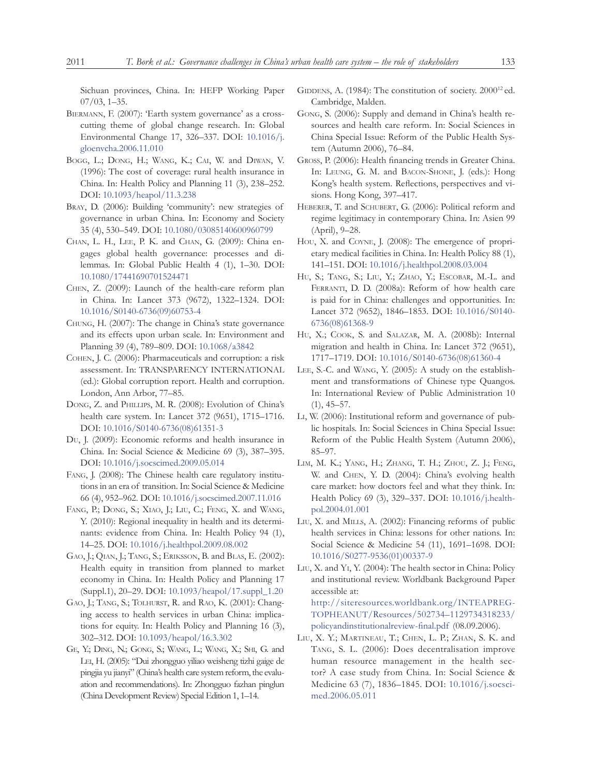Sichuan provinces, China. In: HEFP Working Paper 07/03, 1–35.

- BIERMANN, F. (2007): 'Earth system governance' as a crosscutting theme of global change research. In: Global Environmental Change 17, 326–337. DOI: [10.1016/j.](http://dx.doi.org/10.1016/j.gloenvcha.2006.11.010) [gloenvcha.2006.11.010](http://dx.doi.org/10.1016/j.gloenvcha.2006.11.010)
- Bogg, L.; Dong, H.; Wang, K.; Cai, W. and Diwan, V. (1996): The cost of coverage: rural health insurance in China. In: Health Policy and Planning 11 (3), 238–252. DOI: [10.1093/heapol/11.3.238](http://dx.doi.org/10.1093/heapol/11.3.238)
- Bray, D. (2006): Building 'community': new strategies of governance in urban China. In: Economy and Society 35 (4), 530–549. DOI: [10.1080/03085140600960799](http://dx.doi.org/10.1080/03085140600960799)
- Chan, L. H., Lee, P. K. and Chan, G. (2009): China engages global health governance: processes and dilemmas. In: Global Public Health 4 (1), 1–30. DOI: [10.1080/17441690701524471](http://dx.doi.org/10.1080/17441690701524471)
- Chen, Z. (2009): Launch of the health-care reform plan in China. In: Lancet 373 (9672), 1322–1324. DOI: [10.1016/S0140-6736\(09\)60753-4](http://dx.doi.org/10.1016/S0140-6736(09)60753-4)
- Chung, H. (2007): The change in China's state governance and its effects upon urban scale. In: Environment and Planning 39 (4), 789–809. DOI: [10.1068/a3842](http://dx.doi.org/10.1068/a3842)
- Cohen, J. C. (2006): Pharmaceuticals and corruption: a risk assessment. In: TRANSPARENCY INTERNATIONAL (ed.): Global corruption report. Health and corruption. London, Ann Arbor, 77–85.
- Dong, Z. and Phillips, M. R. (2008): Evolution of China's health care system. In: Lancet 372 (9651), 1715–1716. DOI: [10.1016/S0140-6736\(08\)61351-3](http://dx.doi.org/10.1016/S0140-6736(08)61351-3)
- Du, J. (2009): Economic reforms and health insurance in China. In: Social Science & Medicine 69 (3), 387–395. DOI: [10.1016/j.socscimed.2009.05.014](http://dx.doi.org/10.1016/j.socscimed.2009.05.014)
- FANG, J. (2008): The Chinese health care regulatory institutions in an era of transition. In: Social Science & Medicine 66 (4), 952–962. DOI: [10.1016/j.socscimed.2007.11.016](http://dx.doi.org/10.1016/j.socscimed.2007.11.016)
- FANG, P.; DONG, S.; XIAO, J.; LIU, C.; FENG, X. and WANG, Y. (2010): Regional inequality in health and its determinants: evidence from China. In: Health Policy 94 (1), 14–25. DOI: [10.1016/j.healthpol.2009.08.002](http://dx.doi.org/10.1016/j.healthpol.2009.08.002)
- Gao, J.; Qian, J.; Tang, S.; Eriksson, B. and Blas, E. (2002): Health equity in transition from planned to market economy in China. In: Health Policy and Planning 17 (Suppl.1), 20–29. DOI: [10.1093/heapol/17.suppl\\_1.20](http://dx.doi.org/10.1093/heapol/17.suppl_1.20)
- Gao, J.; Tang, S.; Tolhurst, R. and Rao, K. (2001): Changing access to health services in urban China: implications for equity. In: Health Policy and Planning 16 (3), 302–312. DOI: [10.1093/heapol/16.3.302](http://dx.doi.org/10.1093/heapol/16.3.302)
- Ge, Y.; Ding, N.; Gong, S.; Wang, L.; Wang, X.; Shi, G. and Lei, H. (2005): "Dui zhongguo yiliao weisheng tizhi gaige de pingjia yu jianyi" (China's health care system reform, the evaluation and recommendations). In: Zhongguo fazhan pinglun (China Development Review) Special Edition 1, 1–14.
- GIDDENS, A. (1984): The constitution of society. 2000<sup>12</sup> ed. Cambridge, Malden.
- Gong, S. (2006): Supply and demand in China's health resources and health care reform. In: Social Sciences in China Special Issue: Reform of the Public Health System (Autumn 2006), 76–84.
- Gross, P. (2006): Health financing trends in Greater China. In: Leung, G. M. and Bacon-Shone, J. (eds.): Hong Kong's health system. Reflections, perspectives and visions. Hong Kong, 397–417.
- HEBERER, T. and SCHUBERT, G. (2006): Political reform and regime legitimacy in contemporary China. In: Asien 99 (April), 9–28.
- Hou, X. and Coyne, J. (2008): The emergence of proprietary medical facilities in China. In: Health Policy 88 (1), 141–151. DOI: [10.1016/j.healthpol.2008.03.004](http://dx.doi.org/10.1016/j.healthpol.2008.03.004)
- Hu, S.; Tang, S.; Liu, Y.; Zhao, Y.; Escobar, M.-L. and Ferranti, D. D. (2008a): Reform of how health care is paid for in China: challenges and opportunities. In: Lancet 372 (9652), 1846–1853. DOI: [10.1016/S0140-](http://dx.doi.org/10.1016/S0140-6736(08)61368-9) [6736\(08\)61368-9](http://dx.doi.org/10.1016/S0140-6736(08)61368-9)
- Hu, X.; COOK, S. and SALAZAR, M. A. (2008b): Internal migration and health in China. In: Lancet 372 (9651), 1717–1719. DOI: [10.1016/S0140-6736\(08\)61360-4](http://dx.doi.org/10.1016/S0140-6736(08)61360-4)
- Lee, S.-C. and Wang, Y. (2005): A study on the establishment and transformations of Chinese type Quangos. In: International Review of Public Administration 10  $(1), 45 - 57.$
- Li, W. (2006): Institutional reform and governance of public hospitals. In: Social Sciences in China Special Issue: Reform of the Public Health System (Autumn 2006), 85–97.
- Lim, M. K.; Yang, H.; Zhang, T. H.; Zhou, Z. J.; Feng, W. and Chen, Y. D. (2004): China's evolving health care market: how doctors feel and what they think. In: Health Policy 69 (3), 329–337. DOI: [10.1016/j.health](http://dx.doi.org/10.1016/j.healthpol.2004.01.001)[pol.2004.01.001](http://dx.doi.org/10.1016/j.healthpol.2004.01.001)
- Liu, X. and Mills, A. (2002): Financing reforms of public health services in China: lessons for other nations. In: Social Science & Medicine 54 (11), 1691–1698. DOI: [10.1016/S0277-9536\(01\)00337-9](http://dx.doi.org/10.1016/S0277-9536(01)00337-9)
- Liu, X. and Yi, Y. (2004): The health sector in China: Policy and institutional review. Worldbank Background Paper accessible at: [http://siteresources.worldbank.org/INTEAPREG](http://siteresources.worldbank.org/INTEAPREGTOPHEANUT/Resources/502734�1129734318233/policyandinstitutionalreview-final.pdf)-

[TOPHEANUT/Resources/502734–1129734318233/](http://siteresources.worldbank.org/INTEAPREGTOPHEANUT/Resources/502734�1129734318233/policyandinstitutionalreview-final.pdf) [policyandinstitutionalreview-final.pdf](http://siteresources.worldbank.org/INTEAPREGTOPHEANUT/Resources/502734�1129734318233/policyandinstitutionalreview-final.pdf) (08.09.2006).

Liu, X. Y.; Martineau, T.; Chen, L. P.; Zhan, S. K. and Tang, S. L. (2006): Does decentralisation improve human resource management in the health sector? A case study from China. In: Social Science & Medicine 63 (7), 1836–1845. DOI: [10.1016/j.socsci](http://dx.doi.org/10.1016/j.socscimed.2006.05.011)[med.2006.05.011](http://dx.doi.org/10.1016/j.socscimed.2006.05.011)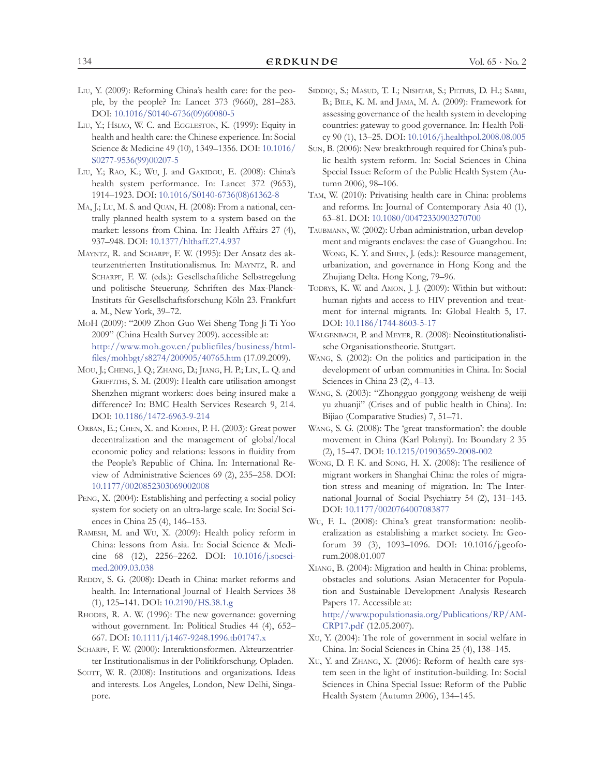- Liu, Y. (2009): Reforming China's health care: for the people, by the people? In: Lancet 373 (9660), 281–283. DOI: [10.1016/S0140-6736\(09\)60080-5](http://dx.doi.org/10.1016/S0140-6736(09)60080-5)
- LIU, Y.; HSIAO, W. C. and EGGLESTON, K. (1999): Equity in health and health care: the Chinese experience. In: Social Science & Medicine 49 (10), 1349–1356. DOI: [10.1016/](http://dx.doi.org/10.1016/S0277-9536(99)00207-5) [S0277-9536\(99\)00207-5](http://dx.doi.org/10.1016/S0277-9536(99)00207-5)
- LIU, Y.; RAO, K.; WU, J. and GAKIDOU, E. (2008): China's health system performance. In: Lancet 372 (9653), 1914–1923. DOI: [10.1016/S0140-6736\(08\)61362-8](http://dx.doi.org/10.1016/S0140-6736(08)61362-8)
- MA, J.; Lu, M. S. and QUAN, H. (2008): From a national, centrally planned health system to a system based on the market: lessons from China. In: Health Affairs 27 (4), 937–948. DOI: [10.1377/hlthaff.27.4.937](http://dx.doi.org/10.1377/hlthaff.27.4.937)
- Mayntz, R. and Scharpf, F. W. (1995): Der Ansatz des akteurzentrierten Institutionalismus. In: Mayntz, R. and Scharpf, F. W. (eds.): Gesellschaftliche Selbstregelung und politische Steuerung. Schriften des Max-Planck-Instituts für Gesellschaftsforschung Köln 23. Frankfurt a. M., New York, 39–72.
- MoH (2009): "2009 Zhon Guo Wei Sheng Tong Ji Ti Yoo 2009" (China Health Survey 2009). accessible at: [http://www.moh.gov.cn/publicfiles/business/html](http://www.moh.gov.cn/publicfiles/business/htmlfiles/mohbgt/s8274/200905/40765.htm)[files/mohbgt/s8274/200905/40765.htm](http://www.moh.gov.cn/publicfiles/business/htmlfiles/mohbgt/s8274/200905/40765.htm) (17.09.2009).
- Mou, J.; Cheng, J. Q.; Zhang, D.; Jiang, H. P.; Lin, L. Q. and GRIFFITHS, S. M. (2009): Health care utilisation amongst Shenzhen migrant workers: does being insured make a difference? In: BMC Health Services Research 9, 214. DOI: [10.1186/1472-6963-9-214](http://dx.doi.org/10.1186/1472-6963-9-214)
- Orban, E.; Chen, X. and Koehn, P. H. (2003): Great power decentralization and the management of global/local economic policy and relations: lessons in fluidity from the People's Republic of China. In: International Review of Administrative Sciences 69 (2), 235–258. DOI: [10.1177/0020852303069002008](http://dx.doi.org/10.1177/0020852303069002008)
- PENG, X. (2004): Establishing and perfecting a social policy system for society on an ultra-large scale. In: Social Sciences in China 25 (4), 146–153.
- Ramesh, M. and Wu, X. (2009): Health policy reform in China: lessons from Asia. In: Social Science & Medicine 68 (12), 2256–2262. DOI: [10.1016/j.socsci](http://dx.doi.org/10.1016/j.socscimed.2009.03.038)[med.2009.03.038](http://dx.doi.org/10.1016/j.socscimed.2009.03.038)
- REDDY, S. G. (2008): Death in China: market reforms and health. In: International Journal of Health Services 38 (1), 125–141. DOI: [10.2190/HS.38.1.g](http://dx.doi.org/10.2190/HS.38.1.g)
- RHODES, R. A. W. (1996): The new governance: governing without government. In: Political Studies 44 (4), 652– 667. DOI: [10.1111/j.1467-9248.1996.tb01747.x](http://dx.doi.org/10.1111/j.1467-9248.1996.tb01747.x)
- SCHARPF, F. W. (2000): Interaktionsformen. Akteurzentrierter Institutionalismus in der Politikforschung. Opladen.
- SCOTT, W. R. (2008): Institutions and organizations. Ideas and interests. Los Angeles, London, New Delhi, Singapore.
- SIDDIQI, S.; MASUD, T. I.; NISHTAR, S.; PETERS, D. H.; SABRI, B.; BILE, K. M. and JAMA, M. A. (2009): Framework for assessing governance of the health system in developing countries: gateway to good governance. In: Health Policy 90 (1), 13–25. DOI: [10.1016/j.healthpol.2008.08.005](http://dx.doi.org/10.1016/j.healthpol.2008.08.005)
- Sun, B. (2006): New breakthrough required for China's public health system reform. In: Social Sciences in China Special Issue: Reform of the Public Health System (Autumn 2006), 98–106.
- Tam, W. (2010): Privatising health care in China: problems and reforms. In: Journal of Contemporary Asia 40 (1), 63–81. DOI: [10.1080/00472330903270700](http://dx.doi.org/10.1080/00472330903270700)
- Taubmann, W. (2002): Urban administration, urban development and migrants enclaves: the case of Guangzhou. In: Wong, K. Y. and Shen, J. (eds.): Resource management, urbanization, and governance in Hong Kong and the Zhujiang Delta. Hong Kong, 79–96.
- TODRYS, K. W. and AMON, J. J. (2009): Within but without: human rights and access to HIV prevention and treatment for internal migrants. In: Global Health 5, 17. DOI: [10.1186/1744-8603-5-17](http://dx.doi.org/10.1186/1744-8603-5-17)
- WALGENBACH, P. and MEYER, R. (2008): Neoinstitutionalistische Organisationstheorie. Stuttgart.
- Wang, S. (2002): On the politics and participation in the development of urban communities in China. In: Social Sciences in China 23 (2), 4–13.
- Wang, S. (2003): "Zhongguo gonggong weisheng de weiji yu zhuanji" (Crises and of public health in China). In: Bijiao (Comparative Studies) 7, 51–71.
- Wang, S. G. (2008): The 'great transformation': the double movement in China (Karl Polanyi). In: Boundary 2 35 (2), 15–47. DOI: [10.1215/01903659-2008-002](http://dx.doi.org/10.1215/01903659-2008-002)
- Wong, D. F. K. and Song, H. X. (2008): The resilience of migrant workers in Shanghai China: the roles of migration stress and meaning of migration. In: The International Journal of Social Psychiatry 54 (2), 131–143. DOI: [10.1177/0020764007083877](http://dx.doi.org/10.1177/0020764007083877)
- Wu, F. L. (2008): China's great transformation: neoliberalization as establishing a market society. In: Geoforum 39 (3), 1093–1096. DOI: [10.1016/j.geofo](http://dx.doi.org/10.1016/j.geoforum.2008.01.007)[rum.2008.01.007](http://dx.doi.org/10.1016/j.geoforum.2008.01.007)
- Xiang, B. (2004): Migration and health in China: problems, obstacles and solutions. Asian Metacenter for Population and Sustainable Development Analysis Research Papers 17. Accessible at:

[http://www.populationasia.org/Publications/RP/AM](http://www.populationasia.org/Publications/RP/AMCRP17.pdf)-[CRP17.pdf](http://www.populationasia.org/Publications/RP/AMCRP17.pdf) (12.05.2007).

- Xu, Y. (2004): The role of government in social welfare in China. In: Social Sciences in China 25 (4), 138–145.
- Xu, Y. and Zhang, X. (2006): Reform of health care system seen in the light of institution-building. In: Social Sciences in China Special Issue: Reform of the Public Health System (Autumn 2006), 134–145.